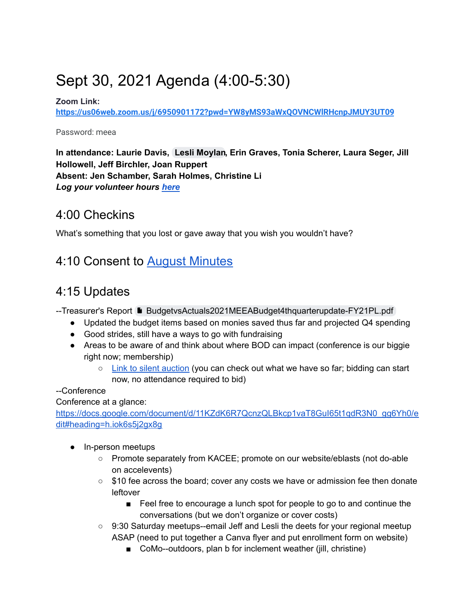# Sept 30, 2021 Agenda (4:00-5:30)

#### **Zoom Link:**

**<https://us06web.zoom.us/j/6950901172?pwd=YW8yMS93aWxQOVNCWlRHcnpJMUY3UT09>**

Password: meea

**In attendance: Laurie Davis, Lesli Moylan, Erin Graves, Tonia Scherer, Laura Seger, Jill Hollowell, Jeff Birchler, Joan Ruppert Absent: Jen Schamber, Sarah Holmes, Christine Li** *Log your volunteer hours [here](https://docs.google.com/forms/d/e/1FAIpQLSeyGs3BdG_sxFAGpjjXzRryj-8Os6pPqOvRnoMgrYpaisbrkw/viewform?usp=sf_link)*

### 4:00 Checkins

What's something that you lost or gave away that you wish you wouldn't have?

# 4:10 Consent to [August Minutes](https://docs.google.com/document/d/1qtQp7ZBwCYY641E-L2scXfgPK5tByXVRSIZE-MD5MW8/edit?usp=sharing)

# 4:15 Updates

--Treasurer's Report DiaudgetvsActuals2021MEEABudget4thquarterupdate-FY21PL.pdf

- Updated the budget items based on monies saved thus far and projected Q4 spending
- Good strides, still have a ways to go with fundraising
- Areas to be aware of and think about where BOD can impact (conference is our biggie right now; membership)
	- [Link to silent auction](https://www.accelevents.com/e/mokseeconference-2021#auction) (you can check out what we have so far; bidding can start now, no attendance required to bid)

--Conference

Conference at a glance:

[https://docs.google.com/document/d/11KZdK6R7QcnzQLBkcp1vaT8GuI65t1qdR3N0\\_gg6Yh0/e](https://docs.google.com/document/d/11KZdK6R7QcnzQLBkcp1vaT8GuI65t1qdR3N0_gg6Yh0/edit#heading=h.iok6s5j2gx8g) [dit#heading=h.iok6s5j2gx8g](https://docs.google.com/document/d/11KZdK6R7QcnzQLBkcp1vaT8GuI65t1qdR3N0_gg6Yh0/edit#heading=h.iok6s5j2gx8g)

- In-person meetups
	- Promote separately from KACEE; promote on our website/eblasts (not do-able on accelevents)
	- \$10 fee across the board; cover any costs we have or admission fee then donate leftover
		- Feel free to encourage a lunch spot for people to go to and continue the conversations (but we don't organize or cover costs)
	- 9:30 Saturday meetups--email Jeff and Lesli the deets for your regional meetup ASAP (need to put together a Canva flyer and put enrollment form on website)
		- CoMo--outdoors, plan b for inclement weather (jill, christine)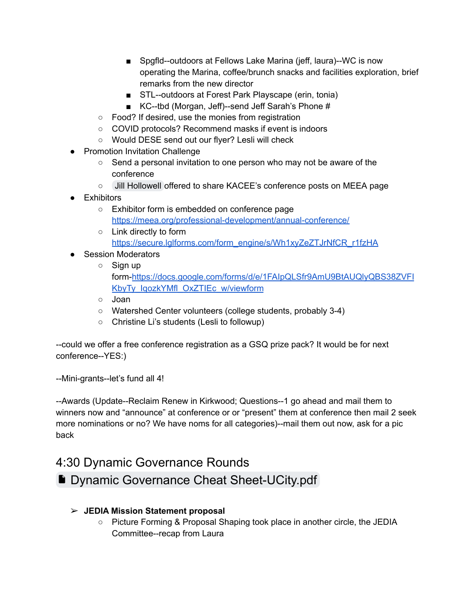- Spgfld--outdoors at Fellows Lake Marina (jeff, laura)--WC is now operating the Marina, coffee/brunch snacks and facilities exploration, brief remarks from the new director
- STL--outdoors at Forest Park Playscape (erin, tonia)
- KC--tbd (Morgan, Jeff)--send Jeff Sarah's Phone #
- Food? If desired, use the monies from registration
- COVID protocols? Recommend masks if event is indoors
- Would DESE send out our flyer? Lesli will check
- Promotion Invitation Challenge
	- Send a personal invitation to one person who may not be aware of the conference
	- $\circ$  Jill Hollowell offered to share KACEE's conference posts on MEEA page
- Exhibitors
	- Exhibitor form is embedded on conference page <https://meea.org/professional-development/annual-conference/>
	- Link directly to form [https://secure.lglforms.com/form\\_engine/s/Wh1xyZeZTJrNfCR\\_r1fzHA](https://secure.lglforms.com/form_engine/s/Wh1xyZeZTJrNfCR_r1fzHA)
- Session Moderators
	- Sign up form-[https://docs.google.com/forms/d/e/1FAIpQLSfr9AmU9BtAUQlyQBS38ZVFI](https://docs.google.com/forms/d/e/1FAIpQLSfr9AmU9BtAUQlyQBS38ZVFIKbyTy_IqozkYMfl_OxZTIEc_w/viewform) [KbyTy\\_IqozkYMfl\\_OxZTIEc\\_w/viewform](https://docs.google.com/forms/d/e/1FAIpQLSfr9AmU9BtAUQlyQBS38ZVFIKbyTy_IqozkYMfl_OxZTIEc_w/viewform)
	- Joan
	- Watershed Center volunteers (college students, probably 3-4)
	- Christine Li's students (Lesli to followup)

--could we offer a free conference registration as a GSQ prize pack? It would be for next conference--YES:)

--Mini-grants--let's fund all 4!

--Awards (Update--Reclaim Renew in Kirkwood; Questions--1 go ahead and mail them to winners now and "announce" at conference or or "present" them at conference then mail 2 seek more nominations or no? We have noms for all categories)--mail them out now, ask for a pic back

### 4:30 Dynamic Governance Rounds

## **[Dynamic Governance Cheat Sheet-UCity.pdf](https://drive.google.com/file/d/16sS0kGlQ0eH5GW9n9eM6jjFxAGQujtpL/view?usp=sharing)**

### ➢ **JEDIA Mission Statement proposal**

○ Picture Forming & Proposal Shaping took place in another circle, the JEDIA Committee--recap from Laura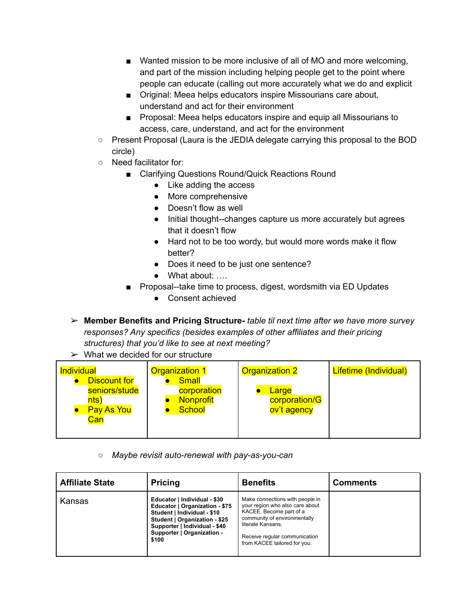- Wanted mission to be more inclusive of all of MO and more welcoming, and part of the mission including helping people get to the point where people can educate (calling out more accurately what we do and explicit
- Original: Meea helps educators inspire Missourians care about, understand and act for their environment
- Proposal: Meea helps educators inspire and equip all Missourians to access, care, understand, and act for the environment
- Present Proposal (Laura is the JEDIA delegate carrying this proposal to the BOD circle)
- Need facilitator for:
	- Clarifying Questions Round/Quick Reactions Round
		- Like adding the access
		- More comprehensive
		- Doesn't flow as well
		- Initial thought--changes capture us more accurately but agrees that it doesn't flow
		- Hard not to be too wordy, but would more words make it flow better?
		- Does it need to be just one sentence?
		- What about: ….
	- Proposal--take time to process, digest, wordsmith via ED Updates
		- Consent achieved

➢ **Member Benefits and Pricing Structure-** *table til next time after we have more survey responses? Any specifics (besides examples of other affiliates and their pricing structures) that you'd like to see at next meeting?*

 $\triangleright$  What we decided for our structure

| Individual                                                               | <b>Organization 1</b>                                            | <b>Organization 2</b>                 | Lifetime (Individual) |
|--------------------------------------------------------------------------|------------------------------------------------------------------|---------------------------------------|-----------------------|
| <b>Discount for</b><br>seniors/stude<br>nts)<br><b>Pay As You</b><br>Can | <b>Small</b><br>corporation<br><b>Nonprofit</b><br><b>School</b> | Large<br>corporation/G<br>ov't agency |                       |

*○ Maybe revisit auto-renewal with pay-as-you-can*

| <b>Affiliate State</b> | <b>Pricing</b>                                                                                                                                                                                         | <b>Benefits</b>                                                                                                                                                                                                     | <b>Comments</b> |
|------------------------|--------------------------------------------------------------------------------------------------------------------------------------------------------------------------------------------------------|---------------------------------------------------------------------------------------------------------------------------------------------------------------------------------------------------------------------|-----------------|
| Kansas                 | Educator   Individual - \$30<br>Educator   Organization - \$75<br>Student   Individual - \$10<br>Student   Organization - \$25<br>Supporter   Individual - \$40<br>Supporter   Organization -<br>\$100 | Make connections with people in<br>your region who also care about<br>KACEE. Become part of a<br>community of environmentally<br>literate Kansans.<br>Receive regular communication<br>from KACEE tailored for you. |                 |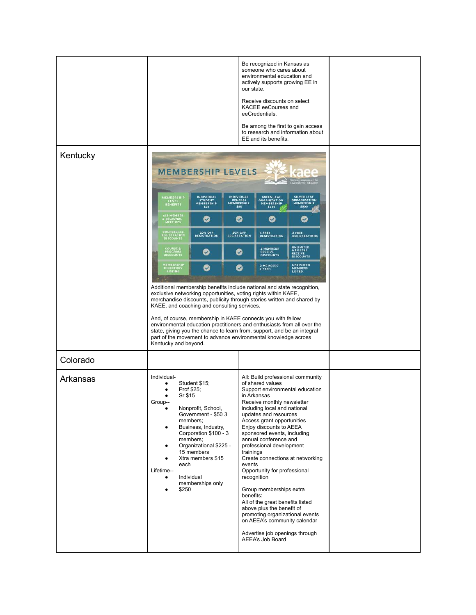| Kentucky |                                                                                                                                                                                                                                                                                                                                                                                                                                                                                                                                                                                  |                                |                                                                                                                                                                                                                                                                                                                                                                                                                                                                                                                                                                                                                                                                                         | our state. | Be recognized in Kansas as<br>someone who cares about<br>environmental education and<br>actively supports growing EE in<br>Receive discounts on select<br>KACEE eeCourses and<br>eeCredentials.<br>EE and its benefits. | Be among the first to gain access<br>to research and information about |  |
|----------|----------------------------------------------------------------------------------------------------------------------------------------------------------------------------------------------------------------------------------------------------------------------------------------------------------------------------------------------------------------------------------------------------------------------------------------------------------------------------------------------------------------------------------------------------------------------------------|--------------------------------|-----------------------------------------------------------------------------------------------------------------------------------------------------------------------------------------------------------------------------------------------------------------------------------------------------------------------------------------------------------------------------------------------------------------------------------------------------------------------------------------------------------------------------------------------------------------------------------------------------------------------------------------------------------------------------------------|------------|-------------------------------------------------------------------------------------------------------------------------------------------------------------------------------------------------------------------------|------------------------------------------------------------------------|--|
|          | <b>MEMBERSHIP LEVELS</b><br>INDIVIDUAL<br><b>INDIVIDUAL</b><br><b>SILVER LEAF</b>                                                                                                                                                                                                                                                                                                                                                                                                                                                                                                |                                |                                                                                                                                                                                                                                                                                                                                                                                                                                                                                                                                                                                                                                                                                         |            |                                                                                                                                                                                                                         |                                                                        |  |
|          | MEMBERSHIP<br>LEVEL<br>BENEFITS                                                                                                                                                                                                                                                                                                                                                                                                                                                                                                                                                  | STUDENT<br>MEMBERSHIP<br>\$25  | GENERAL<br>MEMBERSHIP<br>\$50                                                                                                                                                                                                                                                                                                                                                                                                                                                                                                                                                                                                                                                           |            | GREEN LEAF<br>ORGANIZATION<br>MEMBERSHIP<br>\$250                                                                                                                                                                       | ORGANIZATION<br>MEMBERSHIP<br>\$500                                    |  |
|          | ALL MEMBER<br>EREGIONAL<br>MEET UPS                                                                                                                                                                                                                                                                                                                                                                                                                                                                                                                                              | Ø                              | ❤                                                                                                                                                                                                                                                                                                                                                                                                                                                                                                                                                                                                                                                                                       |            | Ø                                                                                                                                                                                                                       | Ø                                                                      |  |
|          | <b>CONFERENCE</b><br>REGISTRATION<br>DISCOUNTS                                                                                                                                                                                                                                                                                                                                                                                                                                                                                                                                   | 20% OFF<br><b>REGISTRATION</b> | <b>20% OFF</b><br><b>REGISTRATION</b>                                                                                                                                                                                                                                                                                                                                                                                                                                                                                                                                                                                                                                                   |            | 1 FREE<br>REGISTRATION                                                                                                                                                                                                  | 2 FREE<br>REGISTRATIONS                                                |  |
|          | <b>COURSE &amp;<br/>PROGRAM<br/>DISCOUNTS</b>                                                                                                                                                                                                                                                                                                                                                                                                                                                                                                                                    | Ø                              |                                                                                                                                                                                                                                                                                                                                                                                                                                                                                                                                                                                                                                                                                         | ❤          | 2 MEMBERS<br><b>RECEIVE</b><br>DISCOUNTS                                                                                                                                                                                | UNLIMITED<br>MEMBERS<br>RECEIVE<br>DISCOUNTS                           |  |
|          | MEMBERSHIP<br>DIRECTORY<br>LISTING                                                                                                                                                                                                                                                                                                                                                                                                                                                                                                                                               | Ø                              |                                                                                                                                                                                                                                                                                                                                                                                                                                                                                                                                                                                                                                                                                         | ⊗          | 2 MEMBERS<br>LISTED                                                                                                                                                                                                     | UNLIMITED<br>MEMBERS<br><b>LISTED</b>                                  |  |
|          | Additional membership benefits include national and state recognition,<br>exclusive networking opportunities, voting rights within KAEE,<br>merchandise discounts, publicity through stories written and shared by<br>KAEE, and coaching and consulting services.<br>And, of course, membership in KAEE connects you with fellow<br>environmental education practitioners and enthusiasts from all over the<br>state, giving you the chance to learn from, support, and be an integral<br>part of the movement to advance environmental knowledge across<br>Kentucky and beyond. |                                |                                                                                                                                                                                                                                                                                                                                                                                                                                                                                                                                                                                                                                                                                         |            |                                                                                                                                                                                                                         |                                                                        |  |
| Colorado |                                                                                                                                                                                                                                                                                                                                                                                                                                                                                                                                                                                  |                                |                                                                                                                                                                                                                                                                                                                                                                                                                                                                                                                                                                                                                                                                                         |            |                                                                                                                                                                                                                         |                                                                        |  |
| Arkansas | Individual-<br>Student \$15;<br>Prof \$25;<br>Sr \$15<br>Group-<br>Nonprofit, School,<br>Government - \$50 3<br>members;<br>Business, Industry,<br>Corporation \$100 - 3<br>members;<br>Organizational \$225 -<br>15 members<br>Xtra members \$15<br>each<br>Lifetime--<br>Individual<br>memberships only<br>\$250                                                                                                                                                                                                                                                               |                                | All: Build professional community<br>of shared values<br>Support environmental education<br>in Arkansas<br>Receive monthly newsletter<br>including local and national<br>updates and resources<br>Access grant opportunities<br>Enjoy discounts to AEEA<br>sponsored events, including<br>annual conference and<br>professional development<br>trainings<br>Create connections at networking<br>events<br>Opportunity for professional<br>recognition<br>Group memberships extra<br>benefits:<br>All of the great benefits listed<br>above plus the benefit of<br>promoting organizational events<br>on AEEA's community calendar<br>Advertise job openings through<br>AEEA's Job Board |            |                                                                                                                                                                                                                         |                                                                        |  |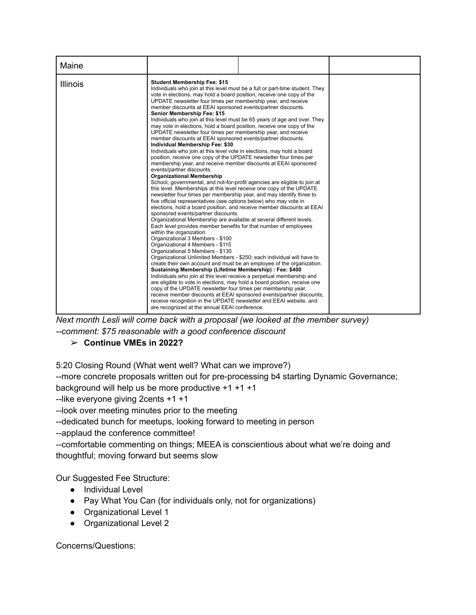| Maine           |                                                                                                                                                                                                                                                                                                                                                                                                                                                                                                                                                                                                                                                                                                                                                                                                                                                                                                                                                                                                                                                                                                                                                                                                                                                                                                                                                                                                                                                                                                                                                                                                                                                                                                                                                                                                                                                                                                                                                                                                                                                                                                                                                           |                                                                                                                                                           |  |
|-----------------|-----------------------------------------------------------------------------------------------------------------------------------------------------------------------------------------------------------------------------------------------------------------------------------------------------------------------------------------------------------------------------------------------------------------------------------------------------------------------------------------------------------------------------------------------------------------------------------------------------------------------------------------------------------------------------------------------------------------------------------------------------------------------------------------------------------------------------------------------------------------------------------------------------------------------------------------------------------------------------------------------------------------------------------------------------------------------------------------------------------------------------------------------------------------------------------------------------------------------------------------------------------------------------------------------------------------------------------------------------------------------------------------------------------------------------------------------------------------------------------------------------------------------------------------------------------------------------------------------------------------------------------------------------------------------------------------------------------------------------------------------------------------------------------------------------------------------------------------------------------------------------------------------------------------------------------------------------------------------------------------------------------------------------------------------------------------------------------------------------------------------------------------------------------|-----------------------------------------------------------------------------------------------------------------------------------------------------------|--|
| <b>Illinois</b> | <b>Student Membership Fee: \$15</b><br>vote in elections, may hold a board position, receive one copy of the<br>UPDATE newsletter four times per membership year, and receive<br>member discounts at EEAI sponsored events/partner discounts.<br>Senior Membership Fee: \$15<br>may vote in elections, hold a board position, receive one copy of the<br>UPDATE newsletter four times per membership year, and receive<br>member discounts at EEAI sponsored events/partner discounts.<br>Individual Membership Fee: \$30<br>Individuals who join at this level vote in elections, may hold a board<br>position, receive one copy of the UPDATE newsletter four times per<br>membership year, and receive member discounts at EEAI sponsored<br>events/partner discounts.<br><b>Organizational Membership</b><br>School, governmental, and not-for-profit agencies are eligible to join at<br>this level. Memberships at this level receive one copy of the UPDATE<br>newsletter four times per membership year, and may identify three to<br>five official representatives (see options below) who may vote in<br>elections, hold a board position, and receive member discounts at EEAI<br>sponsored events/partner discounts.<br>Organizational Membership are available at several different levels.<br>Each level provides member benefits for that number of employees<br>within the organization.<br>Organizational 3 Members - \$100<br>Organizational 4 Members - \$115<br>Organizational 5 Members - \$130<br>Organizational Unlimited Members - \$250; each individual will have to<br>create their own account and must be an employee of the organization.<br>Sustaining Membership (Lifetime Membership) : Fee: \$400<br>Individuals who join at this level receive a perpetual membership and<br>are eligible to vote in elections, may hold a board position, receive one<br>copy of the UPDATE newsletter four times per membership year,<br>receive member discounts at EEAI sponsored events/partner discounts,<br>receive recognition in the UPDATE newsletter and EEAI website, and<br>are recognized at the annual EEAI conference. | Individuals who join at this level must be a full or part-time student. They<br>Individuals who join at this level must be 65 years of age and over. They |  |

*Next month Lesli will come back with a proposal (we looked at the member survey) --comment: \$75 reasonable with a good conference discount*

### ➢ **Continue VMEs in 2022?**

5:20 Closing Round (What went well? What can we improve?)

--more concrete proposals written out for pre-processing b4 starting Dynamic Governance; background will help us be more productive +1 +1 +1

--like everyone giving 2cents +1 +1

--look over meeting minutes prior to the meeting

--dedicated bunch for meetups, looking forward to meeting in person

--applaud the conference committee!

--comfortable commenting on things; MEEA is conscientious about what we're doing and thoughtful; moving forward but seems slow

Our Suggested Fee Structure:

- Individual Level
- Pay What You Can (for individuals only, not for organizations)
- Organizational Level 1
- Organizational Level 2

Concerns/Questions: